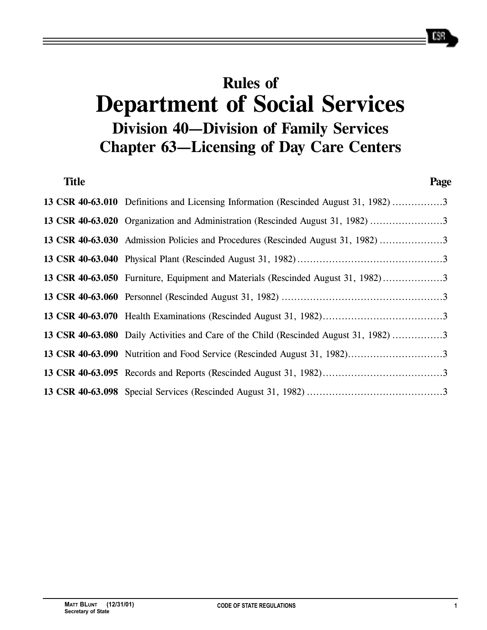# **Rules of Department of Social Services Division 40—Division of Family Services Chapter 63—Licensing of Day Care Centers**

| <b>Title</b> |                                                                                       | Page |
|--------------|---------------------------------------------------------------------------------------|------|
|              | 13 CSR 40-63.010 Definitions and Licensing Information (Rescinded August 31, 1982) 3  |      |
|              | 13 CSR 40-63.020 Organization and Administration (Rescinded August 31, 1982) 3        |      |
|              | 13 CSR 40-63.030 Admission Policies and Procedures (Rescinded August 31, 1982)        |      |
|              |                                                                                       |      |
|              | 13 CSR 40-63.050 Furniture, Equipment and Materials (Rescinded August 31, 1982)3      |      |
|              |                                                                                       |      |
|              |                                                                                       |      |
|              | 13 CSR 40-63.080 Daily Activities and Care of the Child (Rescinded August 31, 1982) 3 |      |
|              |                                                                                       |      |
|              |                                                                                       |      |
|              |                                                                                       |      |

658